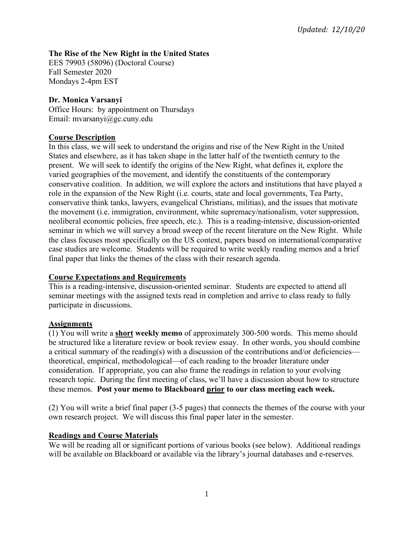# **The Rise of the New Right in the United States**

EES 79903 (58096) (Doctoral Course) Fall Semester 2020 Mondays 2-4pm EST

# **Dr. Monica Varsanyi**

Office Hours: by appointment on Thursdays Email: mvarsanyi@gc.cuny.edu

# **Course Description**

In this class, we will seek to understand the origins and rise of the New Right in the United States and elsewhere, as it has taken shape in the latter half of the twentieth century to the present. We will seek to identify the origins of the New Right, what defines it, explore the varied geographies of the movement, and identify the constituents of the contemporary conservative coalition. In addition, we will explore the actors and institutions that have played a role in the expansion of the New Right (i.e. courts, state and local governments, Tea Party, conservative think tanks, lawyers, evangelical Christians, militias), and the issues that motivate the movement (i.e. immigration, environment, white supremacy/nationalism, voter suppression, neoliberal economic policies, free speech, etc.). This is a reading-intensive, discussion-oriented seminar in which we will survey a broad sweep of the recent literature on the New Right. While the class focuses most specifically on the US context, papers based on international/comparative case studies are welcome. Students will be required to write weekly reading memos and a brief final paper that links the themes of the class with their research agenda.

## **Course Expectations and Requirements**

This is a reading-intensive, discussion-oriented seminar. Students are expected to attend all seminar meetings with the assigned texts read in completion and arrive to class ready to fully participate in discussions.

# **Assignments**

(1) You will write a **short weekly memo** of approximately 300-500 words. This memo should be structured like a literature review or book review essay. In other words, you should combine a critical summary of the reading(s) with a discussion of the contributions and/or deficiencies theoretical, empirical, methodological—of each reading to the broader literature under consideration. If appropriate, you can also frame the readings in relation to your evolving research topic. During the first meeting of class, we'll have a discussion about how to structure these memos. **Post your memo to Blackboard prior to our class meeting each week.**

(2) You will write a brief final paper (3-5 pages) that connects the themes of the course with your own research project. We will discuss this final paper later in the semester.

## **Readings and Course Materials**

We will be reading all or significant portions of various books (see below). Additional readings will be available on Blackboard or available via the library's journal databases and e-reserves.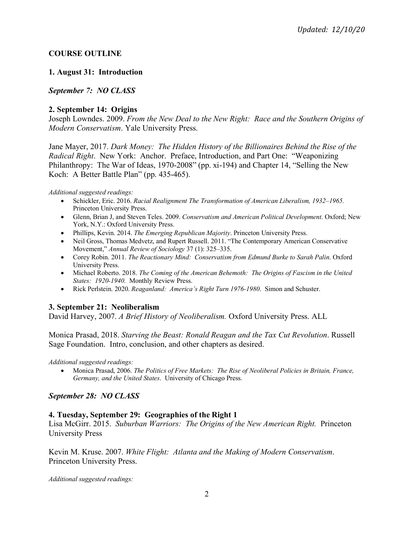# **COURSE OUTLINE**

# **1. August 31: Introduction**

# *September 7: NO CLASS*

## **2. September 14: Origins**

Joseph Lowndes. 2009. *From the New Deal to the New Right: Race and the Southern Origins of Modern Conservatism*. Yale University Press.

Jane Mayer, 2017. *Dark Money: The Hidden History of the Billionaires Behind the Rise of the Radical Right*. New York: Anchor. Preface, Introduction, and Part One: "Weaponizing Philanthropy: The War of Ideas, 1970-2008" (pp. xi-194) and Chapter 14, "Selling the New Koch: A Better Battle Plan" (pp. 435-465).

*Additional suggested readings:*

- Schickler, Eric. 2016. *Racial Realignment The Transformation of American Liberalism, 1932–1965.*  Princeton University Press.
- Glenn, Brian J, and Steven Teles. 2009. *Conservatism and American Political Development*. Oxford; New York, N.Y.: Oxford University Press.
- Phillips, Kevin. 2014. *The Emerging Republican Majority*. Princeton University Press.
- Neil Gross, Thomas Medvetz, and Rupert Russell. 2011. "The Contemporary American Conservative Movement," *Annual Review of Sociology* 37 (1): 325–335.
- Corey Robin. 2011. *The Reactionary Mind: Conservatism from Edmund Burke to Sarah Palin*. Oxford University Press.
- Michael Roberto. 2018. *The Coming of the American Behemoth: The Origins of Fascism in the United States: 1920-1940*. Monthly Review Press.
- Rick Perlstein. 2020. *Reaganland: America's Right Turn 1976-1980*. Simon and Schuster.

## **3. September 21: Neoliberalism**

David Harvey, 2007. *A Brief History of Neoliberalism.* Oxford University Press. ALL

Monica Prasad, 2018. *Starving the Beast: Ronald Reagan and the Tax Cut Revolution*. Russell Sage Foundation. Intro, conclusion, and other chapters as desired.

*Additional suggested readings:*

• Monica Prasad, 2006. *The Politics of Free Markets: The Rise of Neoliberal Policies in Britain, France, Germany, and the United States*. University of Chicago Press.

## *September 28: NO CLASS*

## **4. Tuesday, September 29: Geographies of the Right 1**

Lisa McGirr. 2015. *Suburban Warriors: The Origins of the New American Right.* Princeton University Press

Kevin M. Kruse. 2007. *White Flight: Atlanta and the Making of Modern Conservatism*. Princeton University Press.

*Additional suggested readings:*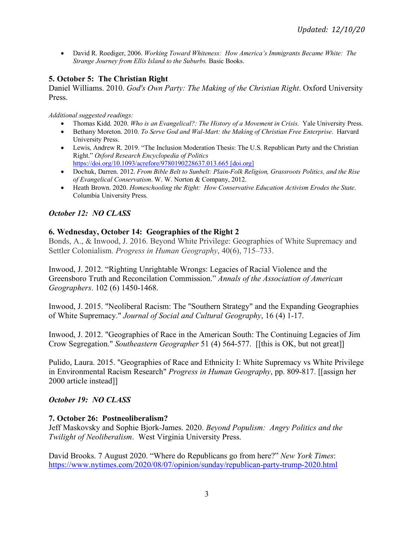• David R. Roediger, 2006. *Working Toward Whiteness: How America's Immigrants Became White: The Strange Journey from Ellis Island to the Suburbs.* Basic Books.

### **5. October 5: The Christian Right**

Daniel Williams. 2010. *God's Own Party: The Making of the Christian Right*. Oxford University Press.

*Additional suggested readings:*

- Thomas Kidd. 2020. *Who is an Evangelical?: The History of a Movement in Crisis*. Yale University Press.
- Bethany Moreton. 2010. *To Serve God and Wal-Mart: the Making of Christian Free Enterprise*. Harvard University Press.
- Lewis, Andrew R. 2019. "The Inclusion Moderation Thesis: The U.S. Republican Party and the Christian Right." *Oxford Research Encyclopedia of Politics* https://doi.org/10.1093/acrefore/9780190228637.013.665 [doi.org]
- Dochuk, Darren. 2012. *From Bible Belt to Sunbelt: Plain-Folk Religion, Grassroots Politics, and the Rise of Evangelical Conservatism*. W. W. Norton & Company, 2012.
- Heath Brown. 2020. *Homeschooling the Right: How Conservative Education Activism Erodes the State*. Columbia University Press.

## *October 12: NO CLASS*

### **6. Wednesday, October 14: Geographies of the Right 2**

Bonds, A., & Inwood, J. 2016. Beyond White Privilege: Geographies of White Supremacy and Settler Colonialism. *Progress in Human Geography*, 40(6), 715–733.

Inwood, J. 2012. "Righting Unrightable Wrongs: Legacies of Racial Violence and the Greensboro Truth and Reconcilation Commission." *Annals of the Association of American Geographers*. 102 (6) 1450-1468.

Inwood, J. 2015. "Neoliberal Racism: The "Southern Strategy" and the Expanding Geographies of White Supremacy." *Journal of Social and Cultural Geography*, 16 (4) 1-17.

Inwood, J. 2012. "Geographies of Race in the American South: The Continuing Legacies of Jim Crow Segregation." *Southeastern Geographer* 51 (4) 564-577. [[this is OK, but not great]]

Pulido, Laura. 2015. "Geographies of Race and Ethnicity I: White Supremacy vs White Privilege in Environmental Racism Research" *Progress in Human Geography*, pp. 809-817. [[assign her 2000 article instead]]

## *October 19: NO CLASS*

## **7. October 26: Postneoliberalism?**

Jeff Maskovsky and Sophie Bjork-James. 2020. *Beyond Populism: Angry Politics and the Twilight of Neoliberalism*. West Virginia University Press.

David Brooks. 7 August 2020. "Where do Republicans go from here?" *New York Times*: https://www.nytimes.com/2020/08/07/opinion/sunday/republican-party-trump-2020.html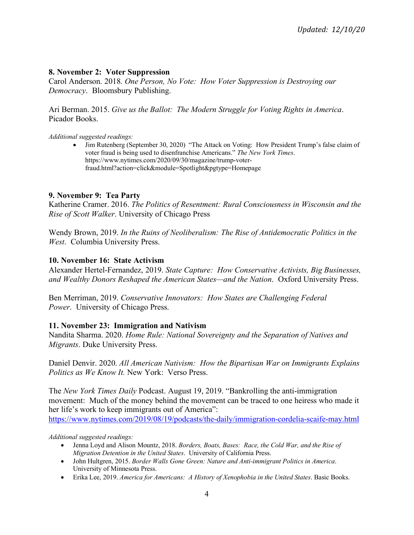### **8. November 2: Voter Suppression**

Carol Anderson. 2018. *One Person, No Vote: How Voter Suppression is Destroying our Democracy*. Bloomsbury Publishing.

Ari Berman. 2015. *Give us the Ballot: The Modern Struggle for Voting Rights in America*. Picador Books.

*Additional suggested readings:*

• Jim Rutenberg (September 30, 2020) "The Attack on Voting: How President Trump's false claim of voter fraud is being used to disenfranchise Americans." *The New York Times*. https://www.nytimes.com/2020/09/30/magazine/trump-voterfraud.html?action=click&module=Spotlight&pgtype=Homepage

#### **9. November 9: Tea Party**

Katherine Cramer. 2016. *The Politics of Resentment: Rural Consciousness in Wisconsin and the Rise of Scott Walker*. University of Chicago Press

Wendy Brown, 2019. *In the Ruins of Neoliberalism: The Rise of Antidemocratic Politics in the West*. Columbia University Press.

#### **10. November 16: State Activism**

Alexander Hertel-Fernandez, 2019. *State Capture: How Conservative Activists, Big Businesses, and Wealthy Donors Reshaped the American States—and the Nation*. Oxford University Press.

Ben Merriman, 2019. *Conservative Innovators: How States are Challenging Federal Power*. University of Chicago Press.

#### **11. November 23: Immigration and Nativism**

Nandita Sharma. 2020. *Home Rule: National Sovereignty and the Separation of Natives and Migrants*. Duke University Press.

Daniel Denvir. 2020. *All American Nativism: How the Bipartisan War on Immigrants Explains Politics as We Know It.* New York: Verso Press.

The *New York Times Daily* Podcast. August 19, 2019. "Bankrolling the anti-immigration movement: Much of the money behind the movement can be traced to one heiress who made it her life's work to keep immigrants out of America": https://www.nytimes.com/2019/08/19/podcasts/the-daily/immigration-cordelia-scaife-may.html

*Additional suggested readings:*

- Jenna Loyd and Alison Mountz, 2018. *Borders, Boats, Bases: Race, the Cold War, and the Rise of Migration Detention in the United States*. University of California Press.
- John Hultgren, 2015. *Border Walls Gone Green: Nature and Anti-immigrant Politics in America*. University of Minnesota Press.
- Erika Lee, 2019. *America for Americans: A History of Xenophobia in the United States*. Basic Books.